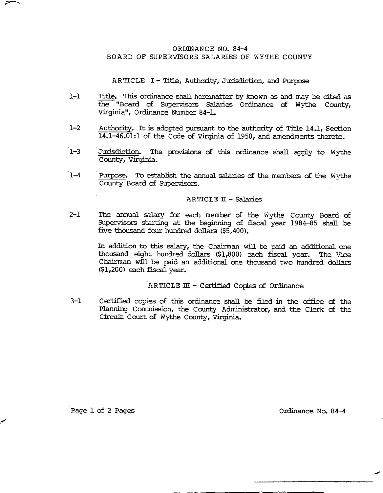### ORDINANCE NO. 84-4 BOARD OF SUPERVISORS SALARIES OF WYTHE COUNTY

ARTICLE I - Title, Authority, Jurisdiction, and Purpose

- ้า–า Title. This ordinance shall hereinafter by known as and may be cited as the "Board of Supervisors Salaries Ordinance of Wythe County, Virginia", Ordinance Number 84-1.
- $1 2$ Authority. It is adopted pursuant to the authority of Title 14.1, Section 14.1-46.01:1 of the Code of Virginia of 1950, and amendments thereto.
- $1 3$ Jurisdiction. The provisions of this ordinance shall apply to Wythe County, Virginia.
- $7 4$ Purpose. To establish the annual salaries of the members of the Wythe County Board of Supervisors.

### ARTICLE II - Salaries

 $2-1$ The annual salary for each member of the Wythe County Board of Supervisors starting at the beginning of fiscal year 1984-85 shall be five thousand four hundred dollars (\$5.400).

> In addition to this salary, the Chairman will be paid an additional one thousand eight hundred dollars (\$1,800) each fiscal year. The Vice Chairman will be paid an additional one thousand two hundred dollars (\$1,200) each fiscal year.

### ARTICLE III - Certified Copies of Ordinance

 $3 - 1$ Certified copies of this ordinance shall be filed in the office of the Planning Commission, the County Administrator, and the Clerk of the Circuit Court of Wythe County, Virginia.

Page 1 of 2 Pages

Ordinance No. 84-4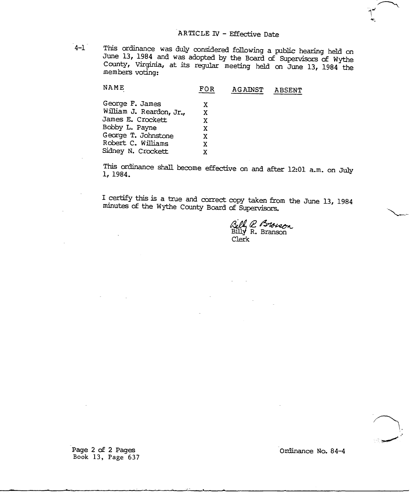$4-1$ 

This ordinance was duly considered following a public hearing held on June 13, 1984 and was adopted by the Board of Supervisors of Wythe County, Virginia, at its regular meeting held on June 13, 1984 the members voting:

| FOR | <b>AGAINST</b> | ABSENT |
|-----|----------------|--------|
| x   |                |        |
| X   |                |        |
| x   |                |        |
| x   |                |        |
| x   |                |        |
| x   |                |        |
| x   |                |        |
|     |                |        |

This ordinance shall become effective on and after 12:01 a.m. on July 1, 1984.

I certify this is a true and correct copy taken from the June 13, 1984 minutes of the Wythe County Board of Supervisors.

Bill R Brosson<br>Billy R. Branson Clerk

Page 2 of 2 Pages Book 13, Page 637 Ordinance No. 84-4